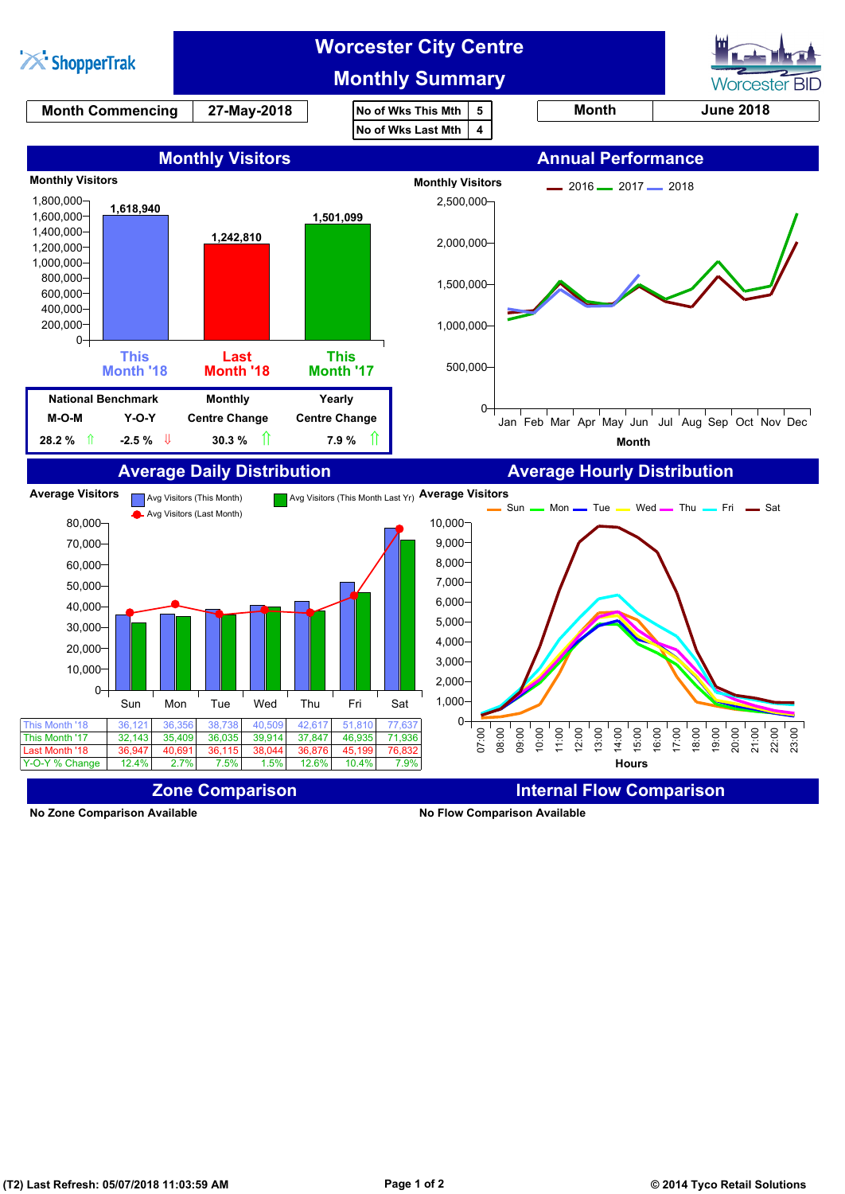

**No Zone Comparison Available No Flow Comparison Available**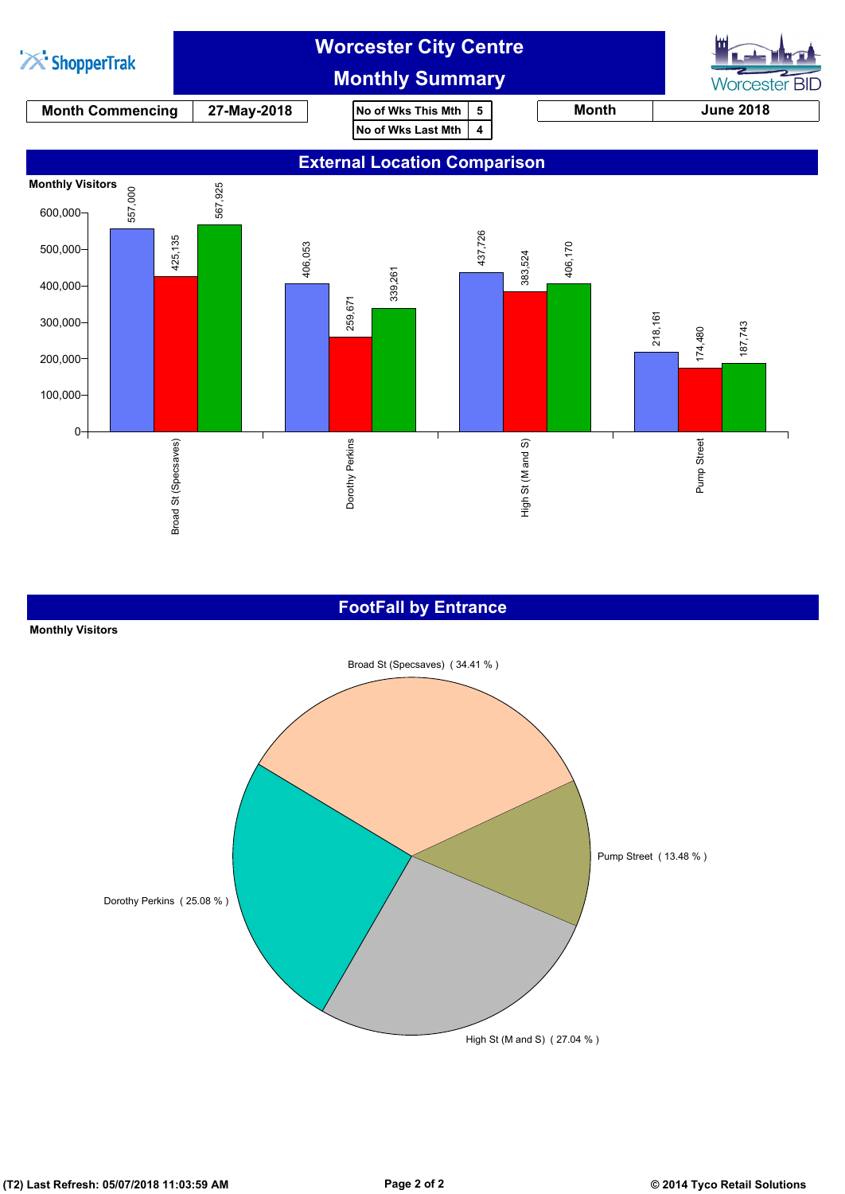

### **FootFall by Entrance**

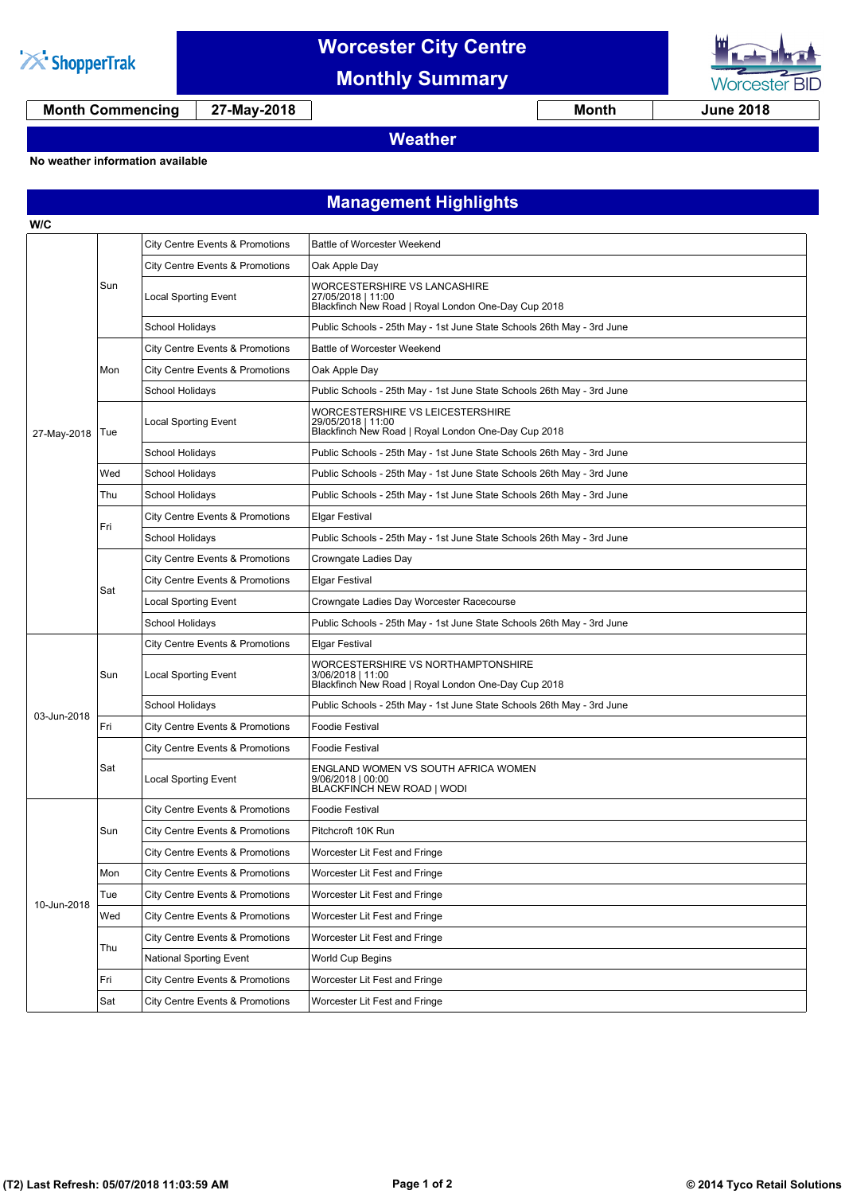

**W/C**

## **Worcester City Centre**

**Monthly Summary**



**Month Commencing 27-May-2018 Month June 2018**

### **Weather**

#### **No weather information available**

## **Management Highlights**

| 27-May-2018 | Sun | City Centre Events & Promotions            | <b>Battle of Worcester Weekend</b>                                                                             |
|-------------|-----|--------------------------------------------|----------------------------------------------------------------------------------------------------------------|
|             |     | City Centre Events & Promotions            | Oak Apple Day                                                                                                  |
|             |     | Local Sporting Event                       | WORCESTERSHIRE VS LANCASHIRE<br>27/05/2018   11:00<br>Blackfinch New Road   Royal London One-Day Cup 2018      |
|             |     | School Holidays                            | Public Schools - 25th May - 1st June State Schools 26th May - 3rd June                                         |
|             | Mon | City Centre Events & Promotions            | <b>Battle of Worcester Weekend</b>                                                                             |
|             |     | City Centre Events & Promotions            | Oak Apple Day                                                                                                  |
|             |     | School Holidays                            | Public Schools - 25th May - 1st June State Schools 26th May - 3rd June                                         |
|             | Tue | Local Sporting Event                       | WORCESTERSHIRE VS LEICESTERSHIRE<br>29/05/2018   11:00<br>Blackfinch New Road   Royal London One-Day Cup 2018  |
|             |     | School Holidays                            | Public Schools - 25th May - 1st June State Schools 26th May - 3rd June                                         |
|             | Wed | School Holidays                            | Public Schools - 25th May - 1st June State Schools 26th May - 3rd June                                         |
|             | Thu | School Holidays                            | Public Schools - 25th May - 1st June State Schools 26th May - 3rd June                                         |
|             | Fri | City Centre Events & Promotions            | Elgar Festival                                                                                                 |
|             |     | School Holidays                            | Public Schools - 25th May - 1st June State Schools 26th May - 3rd June                                         |
|             | Sat | City Centre Events & Promotions            | Crowngate Ladies Day                                                                                           |
|             |     | <b>City Centre Events &amp; Promotions</b> | Elgar Festival                                                                                                 |
|             |     | <b>Local Sporting Event</b>                | Crowngate Ladies Day Worcester Racecourse                                                                      |
|             |     | <b>School Holidays</b>                     | Public Schools - 25th May - 1st June State Schools 26th May - 3rd June                                         |
|             | Sun | City Centre Events & Promotions            | Elgar Festival                                                                                                 |
|             |     | <b>Local Sporting Event</b>                | WORCESTERSHIRE VS NORTHAMPTONSHIRE<br>3/06/2018   11:00<br>Blackfinch New Road   Royal London One-Day Cup 2018 |
| 03-Jun-2018 |     | School Holidays                            | Public Schools - 25th May - 1st June State Schools 26th May - 3rd June                                         |
|             | Fri | City Centre Events & Promotions            | <b>Foodie Festival</b>                                                                                         |
|             | Sat | City Centre Events & Promotions            | <b>Foodie Festival</b>                                                                                         |
|             |     | Local Sporting Event                       | ENGLAND WOMEN VS SOUTH AFRICA WOMEN<br>$9/06/2018$   00:00<br>BLACKFINCH NEW ROAD   WODI                       |
|             | Sun | City Centre Events & Promotions            | <b>Foodie Festival</b>                                                                                         |
| 10-Jun-2018 |     | <b>City Centre Events &amp; Promotions</b> | Pitchcroft 10K Run                                                                                             |
|             |     | <b>City Centre Events &amp; Promotions</b> | Worcester Lit Fest and Fringe                                                                                  |
|             | Mon | City Centre Events & Promotions            | Worcester Lit Fest and Fringe                                                                                  |
|             | Tue | City Centre Events & Promotions            | Worcester Lit Fest and Fringe                                                                                  |
|             | Wed | <b>City Centre Events &amp; Promotions</b> | Worcester Lit Fest and Fringe                                                                                  |
|             | Thu | <b>City Centre Events &amp; Promotions</b> | Worcester Lit Fest and Fringe                                                                                  |
|             |     | <b>National Sporting Event</b>             | World Cup Begins                                                                                               |
|             | Fri | City Centre Events & Promotions            | Worcester Lit Fest and Fringe                                                                                  |
|             | Sat | City Centre Events & Promotions            | Worcester Lit Fest and Fringe                                                                                  |